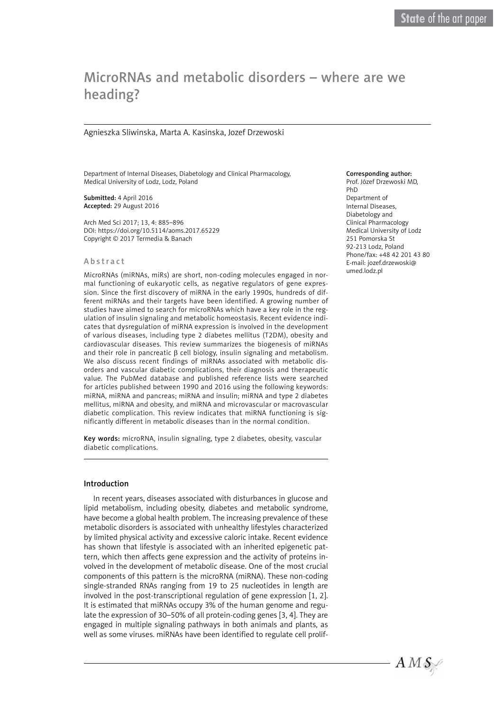# MicroRNAs and metabolic disorders – where are we heading?

## Agnieszka Sliwinska, Marta A. Kasinska, Jozef Drzewoski

Department of Internal Diseases, Diabetology and Clinical Pharmacology, Medical University of Lodz, Lodz, Poland

Submitted: 4 April 2016 Accepted: 29 August 2016

Arch Med Sci 2017; 13, 4: 885–896 DOI: https://doi.org/10.5114/aoms.2017.65229 Copyright © 2017 Termedia & Banach

#### Abstract

MicroRNAs (miRNAs, miRs) are short, non-coding molecules engaged in normal functioning of eukaryotic cells, as negative regulators of gene expression. Since the first discovery of miRNA in the early 1990s, hundreds of different miRNAs and their targets have been identified. A growing number of studies have aimed to search for microRNAs which have a key role in the regulation of insulin signaling and metabolic homeostasis. Recent evidence indicates that dysregulation of miRNA expression is involved in the development of various diseases, including type 2 diabetes mellitus (T2DM), obesity and cardiovascular diseases. This review summarizes the biogenesis of miRNAs and their role in pancreatic β cell biology, insulin signaling and metabolism. We also discuss recent findings of miRNAs associated with metabolic disorders and vascular diabetic complications, their diagnosis and therapeutic value. The PubMed database and published reference lists were searched for articles published between 1990 and 2016 using the following keywords: miRNA, miRNA and pancreas; miRNA and insulin; miRNA and type 2 diabetes mellitus, miRNA and obesity, and miRNA and microvascular or macrovascular diabetic complication. This review indicates that miRNA functioning is significantly different in metabolic diseases than in the normal condition.

Key words: microRNA, insulin signaling, type 2 diabetes, obesity, vascular diabetic complications.

## Introduction

In recent years, diseases associated with disturbances in glucose and lipid metabolism, including obesity, diabetes and metabolic syndrome, have become a global health problem. The increasing prevalence of these metabolic disorders is associated with unhealthy lifestyles characterized by limited physical activity and excessive caloric intake. Recent evidence has shown that lifestyle is associated with an inherited epigenetic pattern, which then affects gene expression and the activity of proteins involved in the development of metabolic disease. One of the most crucial components of this pattern is the microRNA (miRNA). These non-coding single-stranded RNAs ranging from 19 to 25 nucleotides in length are involved in the post-transcriptional regulation of gene expression [1, 2]. It is estimated that miRNAs occupy 3% of the human genome and regulate the expression of 30–50% of all protein-coding genes [3, 4]. They are engaged in multiple signaling pathways in both animals and plants, as well as some viruses. miRNAs have been identified to regulate cell prolif-

#### Corresponding author:

Prof. Józef Drzewoski MD, PhD Department of Internal Diseases, Diabetology and Clinical Pharmacology Medical University of Lodz 251 Pomorska St 92-213 Lodz, Poland Phone/fax: +48 42 201 43 80 E-mail: [jozef.drzewoski@](mailto:jozef.drzewoski@umed.lodz.pl) [umed.lodz.pl](mailto:jozef.drzewoski@umed.lodz.pl)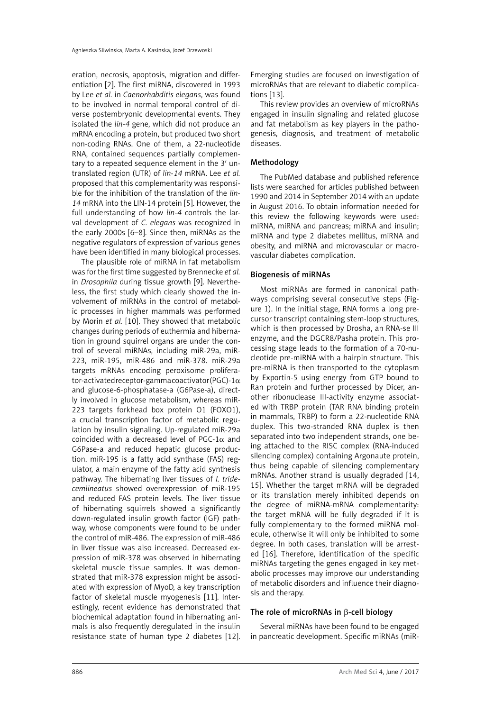eration, necrosis, apoptosis, migration and differentiation [2]. The first miRNA, discovered in 1993 by Lee *et al.* in *Caenorhabditis elegans*, was found to be involved in normal temporal control of diverse postembryonic developmental events. They isolated the *lin-4* gene, which did not produce an mRNA encoding a protein, but produced two short non-coding RNAs. One of them, a 22-nucleotide RNA, contained sequences partially complementary to a repeated sequence element in the 3′ untranslated region (UTR) of *lin-14* mRNA. Lee *et al.* proposed that this complementarity was responsible for the inhibition of the translation of the *lin-14* mRNA into the LIN-14 protein [5]. However, the full understanding of how *lin-4* controls the larval development of *C. elegans* was recognized in the early 2000s [6–8]. Since then, miRNAs as the negative regulators of expression of various genes have been identified in many biological processes.

The plausible role of miRNA in fat metabolism was for the first time suggested by Brennecke *et al.* in *Drosophila* during tissue growth [9]. Nevertheless, the first study which clearly showed the involvement of miRNAs in the control of metabolic processes in higher mammals was performed by Morin *et al.* [10]. They showed that metabolic changes during periods of euthermia and hibernation in ground squirrel organs are under the control of several miRNAs, including miR-29a, miR-223, miR-195, miR-486 and miR-378. miR-29a targets mRNAs encoding peroxisome proliferator-activated receptor-gamma coactivator (PGC)-1 $\alpha$ and glucose-6-phosphatase-a (G6Pase-a), directly involved in glucose metabolism, whereas miR-223 targets forkhead box protein O1 (FOXO1), a crucial transcription factor of metabolic regulation by insulin signaling. Up-regulated miR-29a coincided with a decreased level of PGC-1 $\alpha$  and G6Pase-a and reduced hepatic glucose production. miR-195 is a fatty acid synthase (FAS) regulator, a main enzyme of the fatty acid synthesis pathway. The hibernating liver tissues of *I. tridecemlineatus* showed overexpression of miR-195 and reduced FAS protein levels. The liver tissue of hibernating squirrels showed a significantly down-regulated insulin growth factor (IGF) pathway, whose components were found to be under the control of miR-486. The expression of miR-486 in liver tissue was also increased. Decreased expression of miR-378 was observed in hibernating skeletal muscle tissue samples. It was demonstrated that miR-378 expression might be associated with expression of MyoD, a key transcription factor of skeletal muscle myogenesis [11]. Interestingly, recent evidence has demonstrated that biochemical adaptation found in hibernating animals is also frequently deregulated in the insulin resistance state of human type 2 diabetes [12].

Emerging studies are focused on investigation of microRNAs that are relevant to diabetic complications [13].

This review provides an overview of microRNAs engaged in insulin signaling and related glucose and fat metabolism as key players in the pathogenesis, diagnosis, and treatment of metabolic diseases.

## Methodology

The PubMed database and published reference lists were searched for articles published between 1990 and 2014 in September 2014 with an update in August 2016. To obtain information needed for this review the following keywords were used: miRNA, miRNA and pancreas; miRNA and insulin; miRNA and type 2 diabetes mellitus, miRNA and obesity, and miRNA and microvascular or macrovascular diabetes complication.

## Biogenesis of miRNAs

Most miRNAs are formed in canonical pathways comprising several consecutive steps (Figure 1). In the initial stage, RNA forms a long precursor transcript containing stem-loop structures, which is then processed by Drosha, an RNA-se III enzyme, and the DGCR8/Pasha protein. This processing stage leads to the formation of a 70-nucleotide pre-miRNA with a hairpin structure. This pre-miRNA is then transported to the cytoplasm by Exportin-5 using energy from GTP bound to Ran protein and further processed by Dicer, another ribonuclease III-activity enzyme associated with TRBP protein (TAR RNA binding protein in mammals, TRBP) to form a 22-nucleotide RNA duplex. This two-stranded RNA duplex is then separated into two independent strands, one being attached to the RISC complex (RNA-induced silencing complex) containing Argonaute protein, thus being capable of silencing complementary mRNAs. Another strand is usually degraded [14, 15]. Whether the target mRNA will be degraded or its translation merely inhibited depends on the degree of miRNA-mRNA complementarity: the target mRNA will be fully degraded if it is fully complementary to the formed miRNA molecule, otherwise it will only be inhibited to some degree. In both cases, translation will be arrested [16]. Therefore, identification of the specific miRNAs targeting the genes engaged in key metabolic processes may improve our understanding of metabolic disorders and influence their diagnosis and therapy.

#### The role of microRNAs in β-cell biology

Several miRNAs have been found to be engaged in pancreatic development. Specific miRNAs (miR-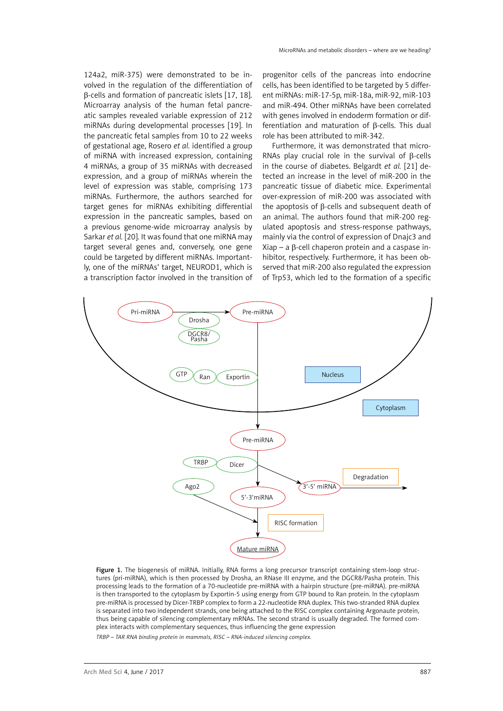124a2, miR-375) were demonstrated to be involved in the regulation of the differentiation of β-cells and formation of pancreatic islets [17, 18]. Microarray analysis of the human fetal pancreatic samples revealed variable expression of 212 miRNAs during developmental processes [19]. In the pancreatic fetal samples from 10 to 22 weeks of gestational age, Rosero *et al.* identified a group of miRNA with increased expression, containing 4 miRNAs, a group of 35 miRNAs with decreased expression, and a group of miRNAs wherein the level of expression was stable, comprising 173 miRNAs. Furthermore, the authors searched for target genes for miRNAs exhibiting differential expression in the pancreatic samples, based on a previous genome-wide microarray analysis by Sarkar *et al.* [20]. It was found that one miRNA may target several genes and, conversely, one gene could be targeted by different miRNAs. Importantly, one of the miRNAs' target, NEUROD1, which is a transcription factor involved in the transition of

progenitor cells of the pancreas into endocrine cells, has been identified to be targeted by 5 different miRNAs: miR-17-5p, miR-18a, miR-92, miR-103 and miR-494. Other miRNAs have been correlated with genes involved in endoderm formation or differentiation and maturation of β-cells. This dual role has been attributed to miR-342.

Furthermore, it was demonstrated that micro-RNAs play crucial role in the survival of β-cells in the course of diabetes. Belgardt *et al.* [21] detected an increase in the level of miR-200 in the pancreatic tissue of diabetic mice. Experimental over-expression of miR-200 was associated with the apoptosis of β-cells and subsequent death of an animal. The authors found that miR-200 regulated apoptosis and stress-response pathways, mainly via the control of expression of Dnajc3 and Xiap – a β-cell chaperon protein and a caspase inhibitor, respectively. Furthermore, it has been observed that miR-200 also regulated the expression of Trp53, which led to the formation of a specific



Figure 1. The biogenesis of miRNA. Initially, RNA forms a long precursor transcript containing stem-loop structures (pri-miRNA), which is then processed by Drosha, an RNase III enzyme, and the DGCR8/Pasha protein. This processing leads to the formation of a 70-nucleotide pre-miRNA with a hairpin structure (pre-miRNA). pre-miRNA is then transported to the cytoplasm by Exportin-5 using energy from GTP bound to Ran protein. In the cytoplasm pre-miRNA is processed by Dicer-TRBP complex to form a 22-nucleotide RNA duplex. This two-stranded RNA duplex is separated into two independent strands, one being attached to the RISC complex containing Argonaute protein, thus being capable of silencing complementary mRNAs. The second strand is usually degraded. The formed complex interacts with complementary sequences, thus influencing the gene expression

*TRBP – TAR RNA binding protein in mammals, RISC – RNA-induced silencing complex.*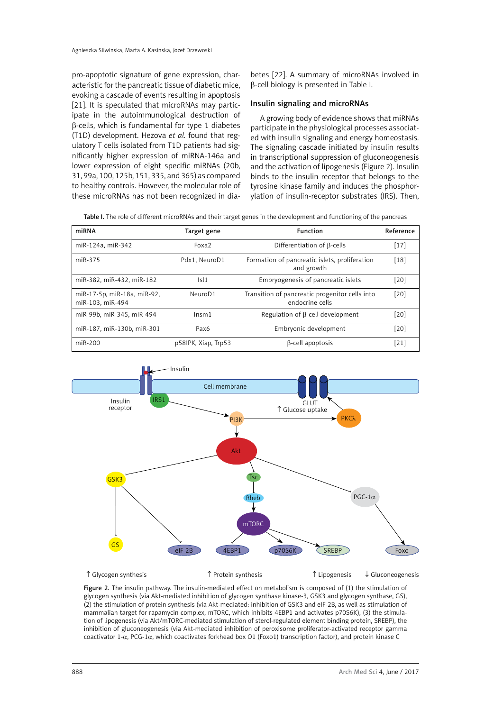pro-apoptotic signature of gene expression, characteristic for the pancreatic tissue of diabetic mice, evoking a cascade of events resulting in apoptosis [21]. It is speculated that microRNAs may participate in the autoimmunological destruction of β-cells, which is fundamental for type 1 diabetes (T1D) development. Hezova *et al.* found that regulatory T cells isolated from T1D patients had significantly higher expression of miRNA-146a and lower expression of eight specific miRNAs (20b, 31, 99a, 100, 125b, 151, 335, and 365) as compared to healthy controls. However, the molecular role of these microRNAs has not been recognized in dia-

betes [22]. A summary of microRNAs involved in β-cell biology is presented in Table I.

#### Insulin signaling and microRNAs

A growing body of evidence shows that miRNAs participate in the physiological processes associated with insulin signaling and energy homeostasis. The signaling cascade initiated by insulin results in transcriptional suppression of gluconeogenesis and the activation of lipogenesis (Figure 2). Insulin binds to the insulin receptor that belongs to the tyrosine kinase family and induces the phosphorylation of insulin-receptor substrates (IRS). Then,

Table I. The role of different microRNAs and their target genes in the development and functioning of the pancreas

| miRNA                                           | Target gene         | <b>Function</b>                                                   | Reference |
|-------------------------------------------------|---------------------|-------------------------------------------------------------------|-----------|
| miR-124a, miR-342                               | Foxa <sub>2</sub>   | Differentiation of B-cells                                        | $[17]$    |
| miR-375                                         | Pdx1, NeuroD1       | Formation of pancreatic islets, proliferation<br>and growth       | $[18]$    |
| miR-382, miR-432, miR-182                       | Isl1                | Embryogenesis of pancreatic islets                                | [20]      |
| miR-17-5p, miR-18a, miR-92,<br>miR-103, miR-494 | NeuroD1             | Transition of pancreatic progenitor cells into<br>endocrine cells | $[20]$    |
| miR-99b, miR-345, miR-494                       | ln <sub>5</sub> m1  | Regulation of $\beta$ -cell development                           | [20]      |
| miR-187, miR-130b, miR-301                      | Pax <sub>6</sub>    | Embryonic development                                             | [20]      |
| $miR-200$                                       | p58IPK, Xiap, Trp53 | $\beta$ -cell apoptosis                                           | [21]      |



 ↑ Glycogen synthesis ↑ Protein synthesis ↑ Lipogenesis ↓ Gluconeogenesis

Figure 2. The insulin pathway. The insulin-mediated effect on metabolism is composed of (1) the stimulation of glycogen synthesis (via Akt-mediated inhibition of glycogen synthase kinase-3, GSK3 and glycogen synthase, GS), (2) the stimulation of protein synthesis (via Akt-mediated: inhibition of GSK3 and eIF-2B, as well as stimulation of mammalian target for rapamycin complex, mTORC, which inhibits 4EBP1 and activates p70S6K), (3) the stimulation of lipogenesis (via Akt/mTORC-mediated stimulation of sterol-regulated element binding protein, SREBP), the inhibition of gluconeogenesis (via Akt-mediated inhibition of peroxisome proliferator-activated receptor gamma coactivator 1-a, PCG-1a, which coactivates forkhead box O1 (Foxo1) transcription factor), and protein kinase C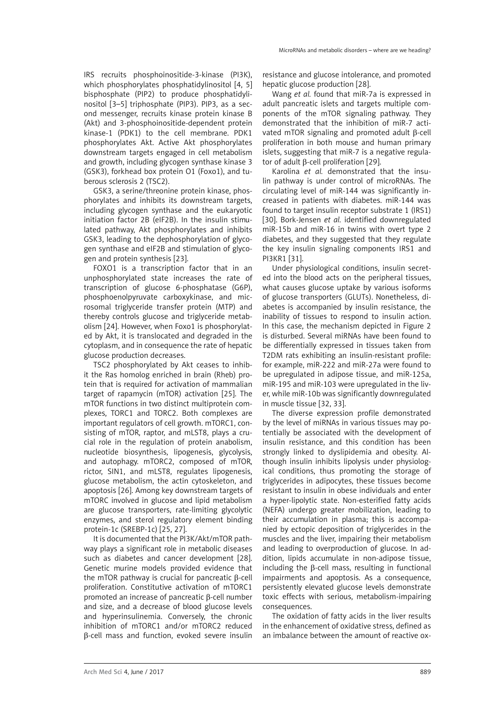IRS recruits phosphoinositide-3-kinase (PI3K), which phosphorylates phosphatidylinositol [4, 5] bisphosphate (PIP2) to produce phosphatidylinositol [3–5] triphosphate (PIP3). PIP3, as a second messenger, recruits kinase protein kinase B (Akt) and 3-phosphoinositide-dependent protein kinase-1 (PDK1) to the cell membrane. PDK1 phosphorylates Akt. Active Akt phosphorylates downstream targets engaged in cell metabolism and growth, including glycogen synthase kinase 3 (GSK3), forkhead box protein O1 (Foxo1), and tuberous sclerosis 2 (TSC2).

GSK3, a serine/threonine protein kinase, phosphorylates and inhibits its downstream targets, including glycogen synthase and the eukaryotic initiation factor 2B (eIF2B). In the insulin stimulated pathway, Akt phosphorylates and inhibits GSK3, leading to the dephosphorylation of glycogen synthase and eIF2B and stimulation of glycogen and protein synthesis [23].

FOXO1 is a transcription factor that in an unphosphorylated state increases the rate of transcription of glucose 6-phosphatase (G6P), phosphoenolpyruvate carboxykinase, and microsomal triglyceride transfer protein (MTP) and thereby controls glucose and triglyceride metabolism [24]. However, when Foxo1 is phosphorylated by Akt, it is translocated and degraded in the cytoplasm, and in consequence the rate of hepatic glucose production decreases.

TSC2 phosphorylated by Akt ceases to inhibit the Ras homolog enriched in brain (Rheb) protein that is required for activation of mammalian target of rapamycin (mTOR) activation [25]. The mTOR functions in two distinct multiprotein complexes, TORC1 and TORC2. Both complexes are important regulators of cell growth. mTORC1, consisting of mTOR, raptor, and mLST8, plays a crucial role in the regulation of protein anabolism, nucleotide biosynthesis, lipogenesis, glycolysis, and autophagy. mTORC2, composed of mTOR, rictor, SIN1, and mLST8, regulates lipogenesis, glucose metabolism, the actin cytoskeleton, and apoptosis [26]. Among key downstream targets of mTORC involved in glucose and lipid metabolism are glucose transporters, rate-limiting glycolytic enzymes, and sterol regulatory element binding protein-1c (SREBP-1c) [25, 27].

It is documented that the PI3K/Akt/mTOR pathway plays a significant role in metabolic diseases such as diabetes and cancer development [28]. Genetic murine models provided evidence that the mTOR pathway is crucial for pancreatic β-cell proliferation. Constitutive activation of mTORC1 promoted an increase of pancreatic β-cell number and size, and a decrease of blood glucose levels and hyperinsulinemia. Conversely, the chronic inhibition of mTORC1 and/or mTORC2 reduced β-cell mass and function, evoked severe insulin

resistance and glucose intolerance, and promoted hepatic glucose production [28].

Wang *et al.* found that miR-7a is expressed in adult pancreatic islets and targets multiple components of the mTOR signaling pathway. They demonstrated that the inhibition of miR-7 activated mTOR signaling and promoted adult β-cell proliferation in both mouse and human primary islets, suggesting that miR-7 is a negative regulator of adult β-cell proliferation [29].

Karolina *et al.* demonstrated that the insulin pathway is under control of microRNAs. The circulating level of miR-144 was significantly increased in patients with diabetes. miR-144 was found to target insulin receptor substrate 1 (IRS1) [30]. Bork-Jensen *et al.* identified downregulated miR-15b and miR-16 in twins with overt type 2 diabetes, and they suggested that they regulate the key insulin signaling components IRS1 and PI3KR1 [31].

Under physiological conditions, insulin secreted into the blood acts on the peripheral tissues, what causes glucose uptake by various isoforms of glucose transporters (GLUTs). Nonetheless, diabetes is accompanied by insulin resistance, the inability of tissues to respond to insulin action. In this case, the mechanism depicted in Figure 2 is disturbed. Several miRNAs have been found to be differentially expressed in tissues taken from T2DM rats exhibiting an insulin-resistant profile: for example, miR-222 and miR-27a were found to be upregulated in adipose tissue, and miR-125a, miR-195 and miR-103 were upregulated in the liver, while miR-10b was significantly downregulated in muscle tissue [32, 33].

The diverse expression profile demonstrated by the level of miRNAs in various tissues may potentially be associated with the development of insulin resistance, and this condition has been strongly linked to dyslipidemia and obesity. Although insulin inhibits lipolysis under physiological conditions, thus promoting the storage of triglycerides in adipocytes, these tissues become resistant to insulin in obese individuals and enter a hyper-lipolytic state. Non-esterified fatty acids (NEFA) undergo greater mobilization, leading to their accumulation in plasma; this is accompanied by ectopic deposition of triglycerides in the muscles and the liver, impairing their metabolism and leading to overproduction of glucose. In addition, lipids accumulate in non-adipose tissue, including the β-cell mass, resulting in functional impairments and apoptosis. As a consequence, persistently elevated glucose levels demonstrate toxic effects with serious, metabolism-impairing consequences.

The oxidation of fatty acids in the liver results in the enhancement of oxidative stress, defined as an imbalance between the amount of reactive ox-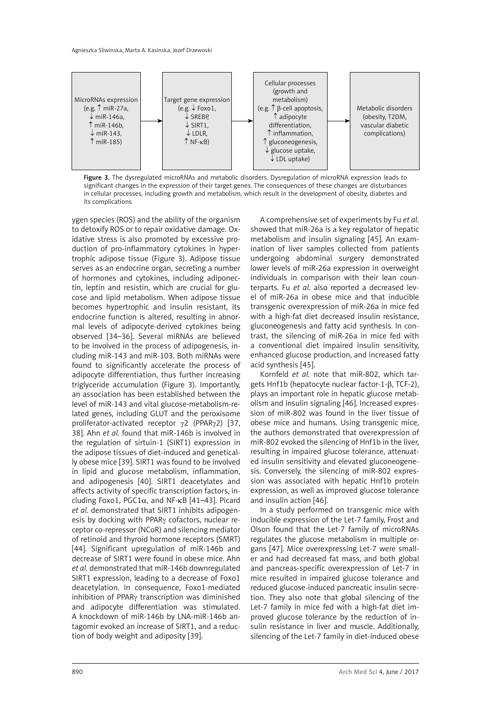

Figure 3. The dysregulated microRNAs and metabolic disorders. Dysregulation of microRNA expression leads to significant changes in the expression of their target genes. The consequences of these changes are disturbances in cellular processes, including growth and metabolism, which result in the development of obesity, diabetes and its complications

ygen species (ROS) and the ability of the organism to detoxify ROS or to repair oxidative damage. Oxidative stress is also promoted by excessive production of pro-inflammatory cytokines in hypertrophic adipose tissue (Figure 3). Adipose tissue serves as an endocrine organ, secreting a number of hormones and cytokines, including adiponectin, leptin and resistin, which are crucial for glucose and lipid metabolism. When adipose tissue becomes hypertrophic and insulin resistant, its endocrine function is altered, resulting in abnormal levels of adipocyte-derived cytokines being observed [34–36]. Several miRNAs are believed to be involved in the process of adipogenesis, including miR-143 and miR-103. Both miRNAs were found to significantly accelerate the process of adipocyte differentiation, thus further increasing triglyceride accumulation (Figure 3). Importantly, an association has been established between the level of miR-143 and vital glucose-metabolism-related genes, including GLUT and the peroxisome proliferator-activated receptor γ2 (PPARγ2) [37, 38]. Ahn *et al.* found that miR-146b is involved in the regulation of sirtuin-1 (SIRT1) expression in the adipose tissues of diet-induced and genetically obese mice [39]. SIRT1 was found to be involved in lipid and glucose metabolism, inflammation, and adipogenesis [40]. SIRT1 deacetylates and affects activity of specific transcription factors, including Foxo1, PGC1α, and NF-κB [41–43]. Picard *et al.* demonstrated that SIRT1 inhibits adipogenesis by docking with PPARγ cofactors, nuclear receptor co-repressor (NCoR) and silencing mediator of retinoid and thyroid hormone receptors (SMRT) [44]. Significant upregulation of miR-146b and decrease of SIRT1 were found in obese mice. Ahn *et al.* demonstrated that miR-146b downregulated SIRT1 expression, leading to a decrease of Foxo1 deacetylation. In consequence, Foxo1-mediated inhibition of PPARγ transcription was diminished and adipocyte differentiation was stimulated. A knockdown of miR-146b by LNA-miR-146b antagomir evoked an increase of SIRT1, and a reduction of body weight and adiposity [39].

A comprehensive set of experiments by Fu *et al*. showed that miR-26a is a key regulator of hepatic metabolism and insulin signaling [45]. An examination of liver samples collected from patients undergoing abdominal surgery demonstrated lower levels of miR-26a expression in overweight individuals in comparison with their lean counterparts. Fu *et al.* also reported a decreased level of miR-26a in obese mice and that inducible transgenic overexpression of miR-26a in mice fed with a high-fat diet decreased insulin resistance, gluconeogenesis and fatty acid synthesis. In contrast, the silencing of miR-26a in mice fed with a conventional diet impaired insulin sensitivity, enhanced glucose production, and increased fatty acid synthesis [45].

Kornfeld *et al.* note that miR-802, which targets Hnf1b (hepatocyte nuclear factor-1-β, TCF-2), plays an important role in hepatic glucose metabolism and insulin signaling [46]. Increased expression of miR-802 was found in the liver tissue of obese mice and humans. Using transgenic mice, the authors demonstrated that overexpression of miR-802 evoked the silencing of Hnf1b in the liver, resulting in impaired glucose tolerance, attenuated insulin sensitivity and elevated gluconeogenesis. Conversely, the silencing of miR-802 expression was associated with hepatic Hnf1b protein expression, as well as improved glucose tolerance and insulin action [46].

In a study performed on transgenic mice with inducible expression of the Let-7 family, Frost and Olson found that the Let-7 family of microRNAs regulates the glucose metabolism in multiple organs [47]. Mice overexpressing Let-7 were smaller and had decreased fat mass, and both global and pancreas-specific overexpression of Let-7 in mice resulted in impaired glucose tolerance and reduced glucose-induced pancreatic insulin secretion. They also note that global silencing of the Let-7 family in mice fed with a high-fat diet improved glucose tolerance by the reduction of insulin resistance in liver and muscle. Additionally, silencing of the Let-7 family in diet-induced obese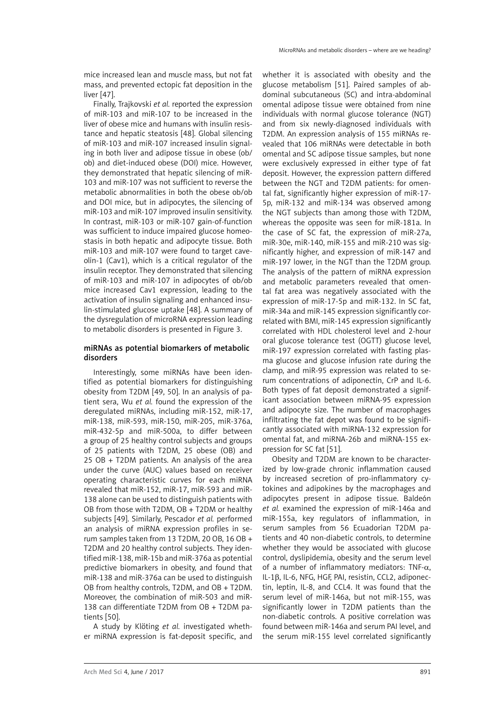mice increased lean and muscle mass, but not fat mass, and prevented ectopic fat deposition in the liver [47].

Finally, Trajkovski *et al.* reported the expression of miR-103 and miR-107 to be increased in the liver of obese mice and humans with insulin resistance and hepatic steatosis [48]. Global silencing of miR-103 and miR-107 increased insulin signaling in both liver and adipose tissue in obese (ob/ ob) and diet-induced obese (DOI) mice. However, they demonstrated that hepatic silencing of miR-103 and miR-107 was not sufficient to reverse the metabolic abnormalities in both the obese ob/ob and DOI mice, but in adipocytes, the silencing of miR-103 and miR-107 improved insulin sensitivity. In contrast, miR-103 or miR-107 gain-of-function was sufficient to induce impaired glucose homeostasis in both hepatic and adipocyte tissue. Both miR-103 and miR-107 were found to target caveolin-1 (Cav1), which is a critical regulator of the insulin receptor. They demonstrated that silencing of miR-103 and miR-107 in adipocytes of ob/ob mice increased Cav1 expression, leading to the activation of insulin signaling and enhanced insulin-stimulated glucose uptake [48]. A summary of the dysregulation of microRNA expression leading to metabolic disorders is presented in Figure 3.

## miRNAs as potential biomarkers of metabolic disorders

Interestingly, some miRNAs have been identified as potential biomarkers for distinguishing obesity from T2DM [49, 50]. In an analysis of patient sera, Wu *et al.* found the expression of the deregulated miRNAs, including miR-152, miR-17, miR-138, miR-593, miR-150, miR-205, miR-376a, miR-432-5p and miR-500a, to differ between a group of 25 healthy control subjects and groups of 25 patients with T2DM, 25 obese (OB) and 25 OB + T2DM patients. An analysis of the area under the curve (AUC) values based on receiver operating characteristic curves for each miRNA revealed that miR-152, miR-17, miR-593 and miR-138 alone can be used to distinguish patients with OB from those with T2DM, OB + T2DM or healthy subjects [49]. Similarly, Pescador *et al.* performed an analysis of miRNA expression profiles in serum samples taken from 13 T2DM, 20 OB, 16 OB + T2DM and 20 healthy control subjects. They identified miR-138, miR-15b and miR-376a as potential predictive biomarkers in obesity, and found that miR-138 and miR-376a can be used to distinguish OB from healthy controls, T2DM, and OB + T2DM. Moreover, the combination of miR-503 and miR-138 can differentiate T2DM from OB + T2DM patients [50].

A study by Klöting *et al.* investigated whether miRNA expression is fat-deposit specific, and whether it is associated with obesity and the glucose metabolism [51]. Paired samples of abdominal subcutaneous (SC) and intra-abdominal omental adipose tissue were obtained from nine individuals with normal glucose tolerance (NGT) and from six newly-diagnosed individuals with T2DM. An expression analysis of 155 miRNAs revealed that 106 miRNAs were detectable in both omental and SC adipose tissue samples, but none were exclusively expressed in either type of fat deposit. However, the expression pattern differed between the NGT and T2DM patients: for omental fat, significantly higher expression of miR-17- 5p, miR-132 and miR-134 was observed among the NGT subjects than among those with T2DM, whereas the opposite was seen for miR-181a. In the case of SC fat, the expression of miR-27a, miR-30e, miR-140, miR-155 and miR-210 was significantly higher, and expression of miR-147 and miR-197 lower, in the NGT than the T2DM group. The analysis of the pattern of miRNA expression and metabolic parameters revealed that omental fat area was negatively associated with the expression of miR-17-5p and miR-132. In SC fat, miR-34a and miR-145 expression significantly correlated with BMI, miR-145 expression significantly correlated with HDL cholesterol level and 2-hour oral glucose tolerance test (OGTT) glucose level, miR-197 expression correlated with fasting plasma glucose and glucose infusion rate during the clamp, and miR-95 expression was related to serum concentrations of adiponectin, CrP and IL-6. Both types of fat deposit demonstrated a significant association between miRNA-95 expression and adipocyte size. The number of macrophages infiltrating the fat depot was found to be significantly associated with miRNA-132 expression for omental fat, and miRNA-26b and miRNA-155 expression for SC fat [51].

Obesity and T2DM are known to be characterized by low-grade chronic inflammation caused by increased secretion of pro-inflammatory cytokines and adipokines by the macrophages and adipocytes present in adipose tissue. Baldeón *et al.* examined the expression of miR-146a and miR-155a, key regulators of inflammation, in serum samples from 56 Ecuadorian T2DM patients and 40 non-diabetic controls, to determine whether they would be associated with glucose control, dyslipidemia, obesity and the serum level of a number of inflammatory mediators: TNF- $\alpha$ , IL-1β, IL-6, NFG, HGF, PAI, resistin, CCL2, adiponectin, leptin, IL-8, and CCL4. It was found that the serum level of miR-146a, but not miR-155, was significantly lower in T2DM patients than the non-diabetic controls. A positive correlation was found between miR-146a and serum PAI level, and the serum miR-155 level correlated significantly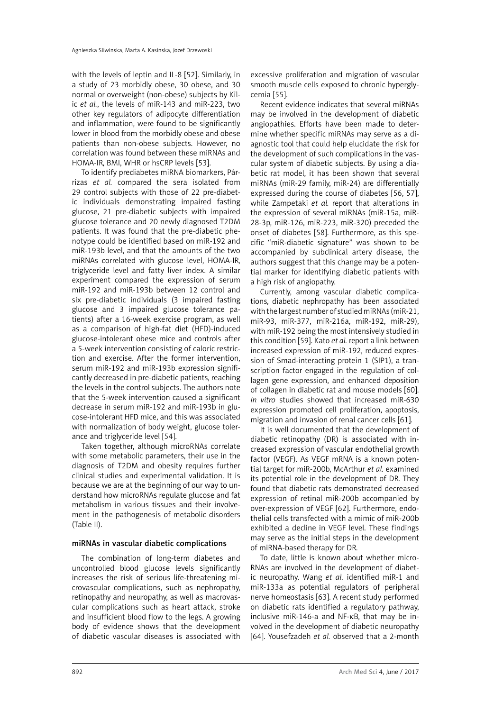with the levels of leptin and IL-8 [52]. Similarly, in a study of 23 morbidly obese, 30 obese, and 30 normal or overweight (non-obese) subjects by Kilic *et al.*, the levels of miR-143 and miR-223, two other key regulators of adipocyte differentiation and inflammation, were found to be significantly lower in blood from the morbidly obese and obese patients than non-obese subjects. However, no correlation was found between these miRNAs and HOMA-IR, BMI, WHR or hsCRP levels [53].

To identify prediabetes miRNA biomarkers, Párrizas *et al.* compared the sera isolated from 29 control subjects with those of 22 pre-diabetic individuals demonstrating impaired fasting glucose, 21 pre-diabetic subjects with impaired glucose tolerance and 20 newly diagnosed T2DM patients. It was found that the pre-diabetic phenotype could be identified based on miR-192 and miR-193b level, and that the amounts of the two miRNAs correlated with glucose level, HOMA-IR, triglyceride level and fatty liver index. A similar experiment compared the expression of serum miR-192 and miR-193b between 12 control and six pre-diabetic individuals (3 impaired fasting glucose and 3 impaired glucose tolerance patients) after a 16-week exercise program, as well as a comparison of high-fat diet (HFD)-induced glucose-intolerant obese mice and controls after a 5-week intervention consisting of caloric restriction and exercise. After the former intervention, serum miR-192 and miR-193b expression significantly decreased in pre-diabetic patients, reaching the levels in the control subjects. The authors note that the 5-week intervention caused a significant decrease in serum miR-192 and miR-193b in glucose-intolerant HFD mice, and this was associated with normalization of body weight, glucose tolerance and triglyceride level [54].

Taken together, although microRNAs correlate with some metabolic parameters, their use in the diagnosis of T2DM and obesity requires further clinical studies and experimental validation. It is because we are at the beginning of our way to understand how microRNAs regulate glucose and fat metabolism in various tissues and their involvement in the pathogenesis of metabolic disorders (Table II).

#### miRNAs in vascular diabetic complications

The combination of long-term diabetes and uncontrolled blood glucose levels significantly increases the risk of serious life-threatening microvascular complications, such as nephropathy, retinopathy and neuropathy, as well as macrovascular complications such as heart attack, stroke and insufficient blood flow to the legs. A growing body of evidence shows that the development of diabetic vascular diseases is associated with

excessive proliferation and migration of vascular smooth muscle cells exposed to chronic hyperglycemia [55].

Recent evidence indicates that several miRNAs may be involved in the development of diabetic angiopathies. Efforts have been made to determine whether specific miRNAs may serve as a diagnostic tool that could help elucidate the risk for the development of such complications in the vascular system of diabetic subjects. By using a diabetic rat model, it has been shown that several miRNAs (miR-29 family, miR-24) are differentially expressed during the course of diabetes [56, 57], while Zampetaki *et al.* report that alterations in the expression of several miRNAs (miR-15a, miR-28-3p, miR-126, miR-223, miR-320) preceded the onset of diabetes [58]. Furthermore, as this specific "miR-diabetic signature" was shown to be accompanied by subclinical artery disease, the authors suggest that this change may be a potential marker for identifying diabetic patients with a high risk of angiopathy.

Currently, among vascular diabetic complications, diabetic nephropathy has been associated with the largest number of studied miRNAs (miR-21, miR-93, miR-377, miR-216a, miR-192, miR-29), with miR-192 being the most intensively studied in this condition [59]. Kato *et al.* report a link between increased expression of miR-192, reduced expression of Smad-interacting protein 1 (SIP1), a transcription factor engaged in the regulation of collagen gene expression, and enhanced deposition of collagen in diabetic rat and mouse models [60]. *In vitro* studies showed that increased miR-630 expression promoted cell proliferation, apoptosis, migration and invasion of renal cancer cells [61].

It is well documented that the development of diabetic retinopathy (DR) is associated with increased expression of vascular endothelial growth factor (VEGF). As VEGF mRNA is a known potential target for miR-200b, McArthur *et al.* examined its potential role in the development of DR. They found that diabetic rats demonstrated decreased expression of retinal miR-200b accompanied by over-expression of VEGF [62]. Furthermore, endothelial cells transfected with a mimic of miR-200b exhibited a decline in VEGF level. These findings may serve as the initial steps in the development of miRNA-based therapy for DR.

To date, little is known about whether micro-RNAs are involved in the development of diabetic neuropathy. Wang *et al.* identified miR-1 and miR-133a as potential regulators of peripheral nerve homeostasis [63]. A recent study performed on diabetic rats identified a regulatory pathway, inclusive miR-146-a and NF-κB, that may be involved in the development of diabetic neuropathy [64]. Yousefzadeh *et al.* observed that a 2-month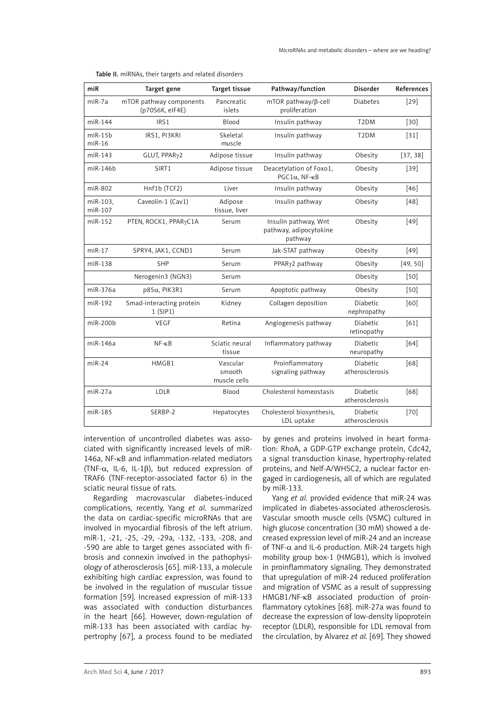| miR                       | Target gene                                | Target tissue                      | Pathway/function                                          | <b>Disorder</b>             | References |
|---------------------------|--------------------------------------------|------------------------------------|-----------------------------------------------------------|-----------------------------|------------|
| $miR-7a$                  | mTOR pathway components<br>(p70S6K, eIF4E) | Pancreatic<br>islets               | $mTOR$ pathway/ $\beta$ -cell<br>proliferation            | <b>Diabetes</b>             | $[29]$     |
| miR-144                   | IRS1                                       | Blood                              | Insulin pathway                                           | T <sub>2</sub> DM           | $[30]$     |
| $m$ i $R-15b$<br>$miR-16$ | IRS1, PI3KRI                               | Skeletal<br>muscle                 | Insulin pathway                                           | T <sub>2</sub> DM           | $[31]$     |
| $miR-143$                 | GLUT, PPARy2                               | Adipose tissue                     | Insulin pathway                                           | Obesity                     | [37, 38]   |
| miR-146b                  | SIRT1                                      | Adipose tissue                     | Deacetylation of Foxo1,<br>$PGC1\alpha$ , NF- $\kappa B$  | Obesity                     | $[39]$     |
| miR-802                   | Hnf1b (TCF2)                               | Liver                              | Insulin pathway                                           | Obesity                     | $[46]$     |
| miR-103.<br>miR-107       | Caveolin-1 (Cav1)                          | Adipose<br>tissue, liver           | Insulin pathway                                           | Obesity                     | [48]       |
| miR-152                   | PTEN, ROCK1, PPARyC1A                      | Serum                              | Insulin pathway, Wnt<br>pathway, adipocytokine<br>pathway | Obesity                     | $[49]$     |
| $miR-17$                  | SPRY4, JAK1, CCND1                         | Serum                              | Jak-STAT pathway                                          | Obesity                     | $[49]$     |
| miR-138                   | <b>SHP</b>                                 | Serum                              | PPARy2 pathway                                            | Obesity                     | [49, 50]   |
|                           | Nerogenin3 (NGN3)                          | Serum                              |                                                           | Obesity                     | $[50]$     |
| miR-376a                  | $p85\alpha$ , PIK3R1                       | Serum                              | Apoptotic pathway                                         | Obesity                     | $[50]$     |
| miR-192                   | Smad-interacting protein<br>1(SIP1)        | Kidney                             | Collagen deposition                                       | Diabetic<br>nephropathy     | [60]       |
| miR-200b                  | VEGF                                       | Retina                             | Angiogenesis pathway                                      | Diabetic<br>retinopathy     | [61]       |
| miR-146a                  | $NF - \kappa B$                            | Sciatic neural<br>tissue           | Inflammatory pathway                                      | Diabetic<br>neuropathy      | [64]       |
| $miR-24$                  | HMGB1                                      | Vascular<br>smooth<br>muscle cells | Proinflammatory<br>signaling pathway                      | Diabetic<br>atherosclerosis | [68]       |
| miR-27a                   | LDLR                                       | Blood                              | Cholesterol homeostasis                                   | Diabetic<br>atherosclerosis | [68]       |
| miR-185                   | SERBP-2                                    | Hepatocytes                        | Cholesterol biosynthesis,<br>LDL uptake                   | Diabetic<br>atherosclerosis | $[70]$     |

Table II. miRNAs, their targets and related disorders

intervention of uncontrolled diabetes was associated with significantly increased levels of miR-146a, NF-κB and inflammation-related mediators (TNF-α, IL-6, IL-1β), but reduced expression of TRAF6 (TNF-receptor-associated factor 6) in the sciatic neural tissue of rats.

Regarding macrovascular diabetes-induced complications, recently, Yang *et al.* summarized the data on cardiac-specific microRNAs that are involved in myocardial fibrosis of the left atrium. miR-1, -21, -25, -29, -29a, -132, -133, -208, and -590 are able to target genes associated with fibrosis and connexin involved in the pathophysiology of atherosclerosis [65]. miR-133, a molecule exhibiting high cardiac expression, was found to be involved in the regulation of muscular tissue formation [59]. Increased expression of miR-133 was associated with conduction disturbances in the heart [66]. However, down-regulation of miR-133 has been associated with cardiac hypertrophy [67], a process found to be mediated

by genes and proteins involved in heart formation: RhoA, a GDP-GTP exchange protein, Cdc42, a signal transduction kinase, hypertrophy-related proteins, and Nelf-A/WHSC2, a nuclear factor engaged in cardiogenesis, all of which are regulated by miR-133.

Yang *et al.* provided evidence that miR-24 was implicated in diabetes-associated atherosclerosis. Vascular smooth muscle cells (VSMC) cultured in high glucose concentration (30 mM) showed a decreased expression level of miR-24 and an increase of TNF- $\alpha$  and IL-6 production. MiR-24 targets high mobility group box-1 (HMGB1), which is involved in proinflammatory signaling. They demonstrated that upregulation of miR-24 reduced proliferation and migration of VSMC as a result of suppressing HMGB1/NF-κB associated production of proinflammatory cytokines [68]. miR-27a was found to decrease the expression of low-density lipoprotein receptor (LDLR), responsible for LDL removal from the circulation, by Alvarez *et al.* [69]. They showed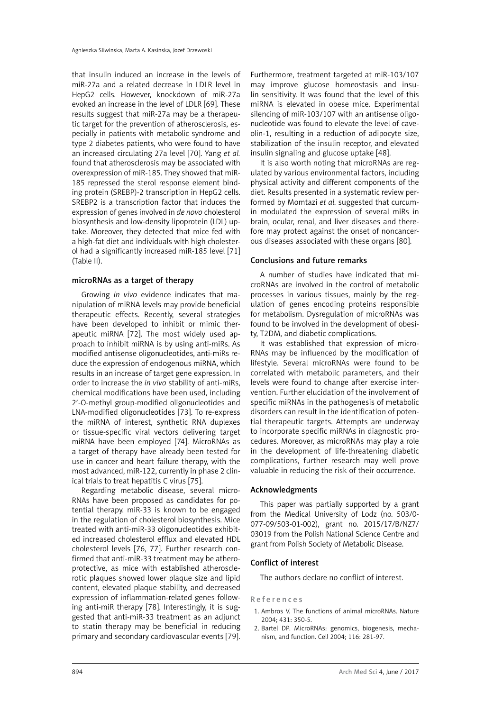that insulin induced an increase in the levels of miR-27a and a related decrease in LDLR level in HepG2 cells. However, knockdown of miR-27a evoked an increase in the level of LDLR [69]. These results suggest that miR-27a may be a therapeutic target for the prevention of atherosclerosis, especially in patients with metabolic syndrome and type 2 diabetes patients, who were found to have an increased circulating 27a level [70]. Yang *et al.*  found that atherosclerosis may be associated with overexpression of miR-185. They showed that miR-185 repressed the sterol response element binding protein (SREBP)-2 transcription in HepG2 cells. SREBP2 is a transcription factor that induces the expression of genes involved in *de novo* cholesterol biosynthesis and low-density lipoprotein (LDL) uptake. Moreover, they detected that mice fed with a high-fat diet and individuals with high cholesterol had a significantly increased miR-185 level [71] (Table II).

## microRNAs as a target of therapy

Growing *in vivo* evidence indicates that manipulation of miRNA levels may provide beneficial therapeutic effects. Recently, several strategies have been developed to inhibit or mimic therapeutic miRNA [72]. The most widely used approach to inhibit miRNA is by using anti-miRs. As modified antisense oligonucleotides, anti-miRs reduce the expression of endogenous miRNA, which results in an increase of target gene expression. In order to increase the *in vivo* stability of anti-miRs, chemical modifications have been used, including 2′-O-methyl group-modified oligonucleotides and LNA-modified oligonucleotides [73]. To re-express the miRNA of interest, synthetic RNA duplexes or tissue-specific viral vectors delivering target miRNA have been employed [74]. MicroRNAs as a target of therapy have already been tested for use in cancer and heart failure therapy, with the most advanced, miR-122, currently in phase 2 clinical trials to treat hepatitis C virus [75].

Regarding metabolic disease, several micro-RNAs have been proposed as candidates for potential therapy. miR-33 is known to be engaged in the regulation of cholesterol biosynthesis. Mice treated with anti-miR-33 oligonucleotides exhibited increased cholesterol efflux and elevated HDL cholesterol levels [76, 77]. Further research confirmed that anti-miR-33 treatment may be atheroprotective, as mice with established atherosclerotic plaques showed lower plaque size and lipid content, elevated plaque stability, and decreased expression of inflammation-related genes following anti-miR therapy [78]. Interestingly, it is suggested that anti-miR-33 treatment as an adjunct to statin therapy may be beneficial in reducing primary and secondary cardiovascular events [79].

Furthermore, treatment targeted at miR-103/107 may improve glucose homeostasis and insulin sensitivity. It was found that the level of this miRNA is elevated in obese mice. Experimental silencing of miR-103/107 with an antisense oligonucleotide was found to elevate the level of caveolin-1, resulting in a reduction of adipocyte size, stabilization of the insulin receptor, and elevated insulin signaling and glucose uptake [48].

It is also worth noting that microRNAs are regulated by various environmental factors, including physical activity and different components of the diet. Results presented in a systematic review performed by Momtazi *et al.* suggested that curcumin modulated the expression of several miRs in brain, ocular, renal, and liver diseases and therefore may protect against the onset of noncancerous diseases associated with these organs [80].

## Conclusions and future remarks

A number of studies have indicated that microRNAs are involved in the control of metabolic processes in various tissues, mainly by the regulation of genes encoding proteins responsible for metabolism. Dysregulation of microRNAs was found to be involved in the development of obesity, T2DM, and diabetic complications.

It was established that expression of micro-RNAs may be influenced by the modification of lifestyle. Several microRNAs were found to be correlated with metabolic parameters, and their levels were found to change after exercise intervention. Further elucidation of the involvement of specific miRNAs in the pathogenesis of metabolic disorders can result in the identification of potential therapeutic targets. Attempts are underway to incorporate specific miRNAs in diagnostic procedures. Moreover, as microRNAs may play a role in the development of life-threatening diabetic complications, further research may well prove valuable in reducing the risk of their occurrence.

#### Acknowledgments

This paper was partially supported by a grant from the Medical University of Lodz (no. 503/0- 077-09/503-01-002), grant no. 2015/17/B/NZ7/ 03019 from the Polish National Science Centre and grant from Polish Society of Metabolic Disease.

# Conflict of interest

The authors declare no conflict of interest.

#### References

- 1. Ambros V. The functions of animal microRNAs. Nature 2004; 431: 350-5.
- 2. Bartel DP. MicroRNAs: genomics, biogenesis, mechanism, and function. Cell 2004; 116: 281-97.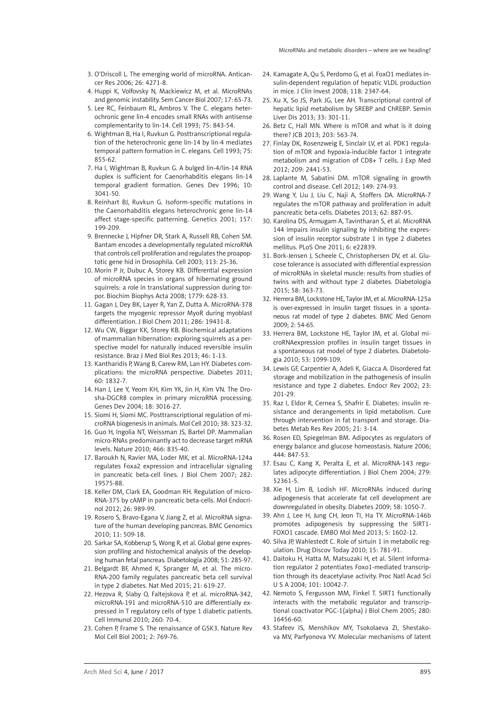- 3. O'Driscoll L. The emerging world of microRNA. Anticancer Res 2006; 26: 4271-8.
- 4. Huppi K, Volfovsky N, Mackiewicz M, et al. MicroRNAs and genomic instability. Sem Cancer Biol 2007; 17: 65-73.
- 5. Lee RC, Feinbaum RL, Ambros V. The C. elegans heterochronic gene lin-4 encodes small RNAs with antisense complementarity to lin-14. Cell 1993; 75: 843-54.
- 6. Wightman B, Ha I, Ruvkun G. Posttranscriptional regulation of the heterochronic gene lin-14 by lin-4 mediates temporal pattern formation in C. elegans. Cell 1993; 75: 855-62.
- 7. Ha I, Wightman B, Ruvkun G. A bulged lin-4/lin-14 RNA duplex is sufficient for Caenorhabditis elegans lin-14 temporal gradient formation. Genes Dev 1996; 10: 3041-50.
- 8. Reinhart BJ, Ruvkun G. Isoform-specific mutations in the Caenorhabditis elegans heterochronic gene lin-14 affect stage-specific patterning. Genetics 2001; 157: 199-209.
- 9. Brennecke J, Hipfner DR, Stark A, Russell RB, Cohen SM. Bantam encodes a developmentally regulated microRNA that controls cell proliferation and regulates the proapoptotic gene hid in Drosophila. Cell 2003; 113: 25-36.
- 10. Morin P Jr, Dubuc A, Storey KB. Differential expression of microRNA species in organs of hibernating ground squirrels: a role in translational suppression during torpor. Biochim Biophys Acta 2008; 1779: 628-33.
- 11. Gagan J, Dey BK, Layer R, Yan Z, Dutta A. MicroRNA-378 targets the myogenic repressor MyoR during myoblast differentiation. J Biol Chem 2011; 286: 19431-8.
- 12. Wu CW, Biggar KK, Storey KB. Biochemical adaptations of mammalian hibernation: exploring squirrels as a perspective model for naturally induced reversible insulin resistance. Braz J Med Biol Res 2013; 46: 1-13.
- 13. Kantharidis P, Wang B, Carew RM, Lan HY. Diabetes complications: the microRNA perspective. Diabetes 2011; 60: 1832-7.
- 14. Han J, Lee Y, Yeom KH, Kim YK, Jin H, Kim VN. The Drosha-DGCR8 complex in primary microRNA processing. Genes Dev 2004; 18: 3016-27.
- 15. Siomi H, Siomi MC. Posttranscriptional regulation of microRNA biogenesis in animals. Mol Cell 2010; 38: 323-32.
- 16. Guo H, Ingolia NT, Weissman JS, Bartel DP. Mammalian micro-RNAs predominantly act to decrease target mRNA levels. Nature 2010; 466: 835-40.
- 17. Baroukh N, Ravier MA, Loder MK, et al. MicroRNA-124a regulates Foxa2 expression and intracellular signaling in pancreatic beta-cell lines. J Biol Chem 2007; 282: 19575-88.
- 18. Keller DM, Clark EA, Goodman RH. Regulation of micro-RNA-375 by cAMP in pancreatic beta-cells. Mol Endocrinol 2012; 26: 989-99.
- 19. Rosero S, Bravo-Egana V, Jiang Z, et al. MicroRNA signature of the human developing pancreas. BMC Genomics 2010; 11: 509-18.
- 20. Sarkar SA, Kobberup S, Wong R, et al. Global gene expression profiling and histochemical analysis of the developing human fetal pancreas. Diabetologia 2008; 51: 285-97.
- 21. Belgardt BF, Ahmed K, Spranger M, et al. The micro-RNA-200 family regulates pancreatic beta cell survival in type 2 diabetes. Nat Med 2015; 21: 619-27.
- 22. Hezova R, Slaby O, Faltejskova P, et al. microRNA-342, microRNA-191 and microRNA-510 are differentially expressed in T regulatory cells of type 1 diabetic patients. Cell Immunol 2010; 260: 70-4.
- 23. Cohen P, Frame S. The renaissance of GSK3. Nature Rev Mol Cell Biol 2001; 2: 769-76.
- 24. Kamagate A, Qu S, Perdomo G, et al. FoxO1 mediates insulin-dependent regulation of hepatic VLDL production in mice. J Clin Invest 2008; 118: 2347-64.
- 25. Xu X, So JS, Park JG, Lee AH. Transcriptional control of hepatic lipid metabolism by SREBP and ChREBP. Semin Liver Dis 2013; 33: 301-11.
- 26. Betz C, Hall MN. Where is mTOR and what is it doing there? JCB 2013; 203: 563-74.
- 27. Finlay DK, Rosenzweig E, Sinclair LV, et al. PDK1 regulation of mTOR and hypoxia-inducible factor 1 integrate metabolism and migration of CD8+ T cells. J Exp Med 2012; 209: 2441-53.
- 28. Laplante M, Sabatini DM. mTOR signaling in growth control and disease. Cell 2012; 149: 274-93.
- 29. Wang Y, Liu J, Liu C, Naji A, Stoffers DA. MicroRNA-7 regulates the mTOR pathway and proliferation in adult pancreatic beta-cells. Diabetes 2013; 62: 887-95.
- 30. Karolina DS, Armugam A, Tavintharan S, et al. MicroRNA 144 impairs insulin signaling by inhibiting the expression of insulin receptor substrate 1 in type 2 diabetes mellitus. PLoS One 2011; 6: e22839.
- 31. Bork-Jensen J, Scheele C, Christophersen DV, et al. Glucose tolerance is associated with differential expression of microRNAs in skeletal muscle: results from studies of twins with and without type 2 diabetes. Diabetologia 2015; 58: 363-73.
- 32. Herrera BM, Lockstone HE, Taylor JM, et al. MicroRNA-125a is over-expressed in insulin target tissues in a spontaneous rat model of type 2 diabetes. BMC Med Genom 2009; 2: 54-65.
- 33. Herrera BM, Lockstone HE, Taylor JM, et al. Global microRNAexpression profiles in insulin target tissues in a spontaneous rat model of type 2 diabetes. Diabetologia 2010; 53: 1099-109.
- 34. Lewis GF, Carpentier A, Adeli K, Giacca A. Disordered fat storage and mobilization in the pathogenesis of insulin resistance and type 2 diabetes. Endocr Rev 2002; 23: 201-29.
- 35. Raz I, Eldor R, Cernea S, Shafrir E. Diabetes: insulin resistance and derangements in lipid metabolism. Cure through intervention in fat transport and storage. Diabetes Metab Res Rev 2005; 21: 3-14.
- 36. Rosen ED, Spiegelman BM. Adipocytes as regulators of energy balance and glucose homeostasis. Nature 2006; 444: 847-53.
- 37. Esau C, Kang X, Peralta E, et al. MicroRNA-143 regulates adipocyte differentiation. J Biol Chem 2004; 279: 52361-5.
- 38. Xie H, Lim B, Lodish HF. MicroRNAs induced during adipogenesis that accelerate fat cell development are downregulated in obesity. Diabetes 2009; 58: 1050-7.
- 39. Ahn J, Lee H, Jung CH, Jeon TI, Ha TY. MicroRNA-146b promotes adipogenesis by suppressing the SIRT1- FOXO1 cascade. EMBO Mol Med 2013; 5: 1602-12.
- 40. Silva JP, Wahlestedt C. Role of sirtuin 1 in metabolic regulation. Drug Discov Today 2010; 15: 781-91.
- 41. Daitoku H, Hatta M, Matsuzaki H, et al. Silent information regulator 2 potentiates Foxo1-mediated transcription through its deacetylase activity. Proc Natl Acad Sci U S A 2004; 101: 10042-7.
- 42. Nemoto S, Fergusson MM, Finkel T. SIRT1 functionally interacts with the metabolic regulator and transcriptional coactivator PGC-1{alpha} J Biol Chem 2005; 280: 16456-60.
- 43. Stafeev IS, Menshikov MY, Tsokolaeva ZI, Shestakova MV, Parfyonova YV. Molecular mechanisms of latent